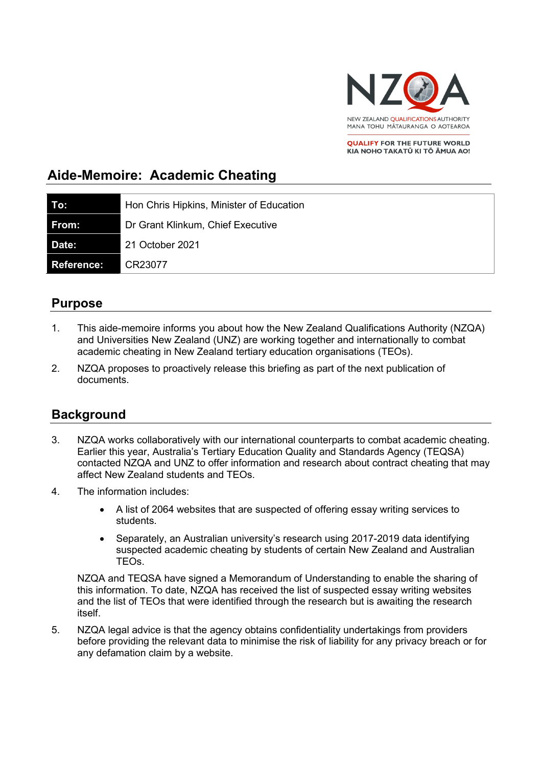

**QUALIFY FOR THE FUTURE WORLD** KIA NOHO TAKATŪ KI TŌ ĀMUA AO!

# **Aide-Memoire: Academic Cheating**

| To:               | Hon Chris Hipkins, Minister of Education |
|-------------------|------------------------------------------|
| From:             | Dr Grant Klinkum, Chief Executive        |
| <b>Date:</b>      | 21 October 2021                          |
| <b>Reference:</b> | CR23077                                  |

### **Purpose**

- 1. This aide-memoire informs you about how the New Zealand Qualifications Authority (NZQA) and Universities New Zealand (UNZ) are working together and internationally to combat academic cheating in New Zealand tertiary education organisations (TEOs).
- 2. NZQA proposes to proactively release this briefing as part of the next publication of documents.

## **Background**

- 3. NZQA works collaboratively with our international counterparts to combat academic cheating. Earlier this year, Australia's Tertiary Education Quality and Standards Agency (TEQSA) contacted NZQA and UNZ to offer information and research about contract cheating that may affect New Zealand students and TEOs.
- 4. The information includes:
	- A list of 2064 websites that are suspected of offering essay writing services to students.
	- Separately, an Australian university's research using 2017-2019 data identifying suspected academic cheating by students of certain New Zealand and Australian TEOs.

NZQA and TEQSA have signed a Memorandum of Understanding to enable the sharing of this information. To date, NZQA has received the list of suspected essay writing websites and the list of TEOs that were identified through the research but is awaiting the research itself.

5. NZQA legal advice is that the agency obtains confidentiality undertakings from providers before providing the relevant data to minimise the risk of liability for any privacy breach or for any defamation claim by a website.